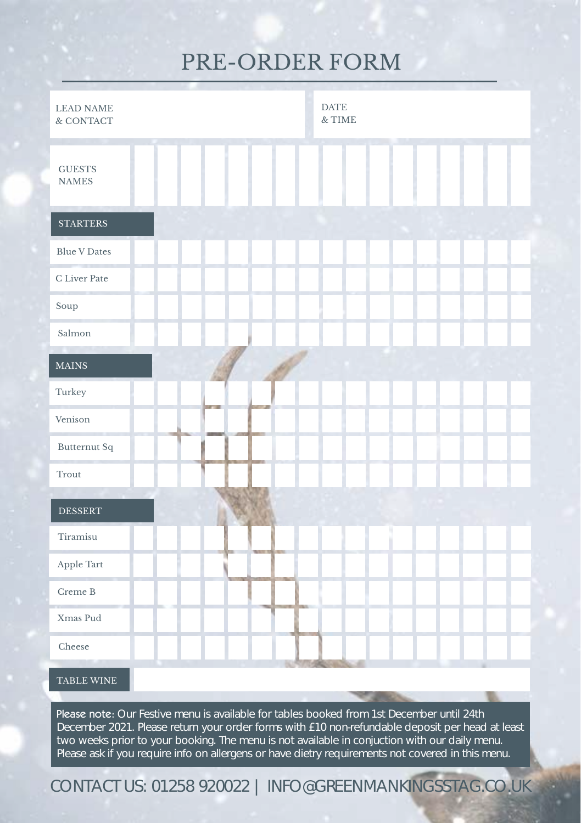### PRE-ORDER FORM

| <b>LEAD NAME</b><br>& CONTACT | <b>DATE</b><br>& TIME                                                                     |
|-------------------------------|-------------------------------------------------------------------------------------------|
| <b>GUESTS</b><br><b>NAMES</b> |                                                                                           |
| <b>STARTERS</b>               |                                                                                           |
| <b>Blue V Dates</b>           |                                                                                           |
| C Liver Pate                  |                                                                                           |
| Soup                          |                                                                                           |
| Salmon                        |                                                                                           |
| <b>MAINS</b>                  |                                                                                           |
| Turkey                        |                                                                                           |
| Venison                       |                                                                                           |
| Butternut Sq                  |                                                                                           |
| Trout                         |                                                                                           |
| <b>DESSERT</b>                |                                                                                           |
| Tiramisu                      |                                                                                           |
| Apple Tart                    |                                                                                           |
| Creme B                       |                                                                                           |
| Xmas Pud                      |                                                                                           |
| Cheese                        |                                                                                           |
| TABLE WINE                    |                                                                                           |
|                               | Please note: Our Festive menu is available for tables booked from 1st December until 24th |

December 2021. Please return your order forms with £10 non-refundable deposit per head at least two weeks prior to your booking. The menu is not available in conjuction with our daily menu. Please ask if you require info on allergens or have dietry requirements not covered in this menu.

CONTACT US: 01258 920022 | INFO@GREENMANKINGSSTAG.CO.UK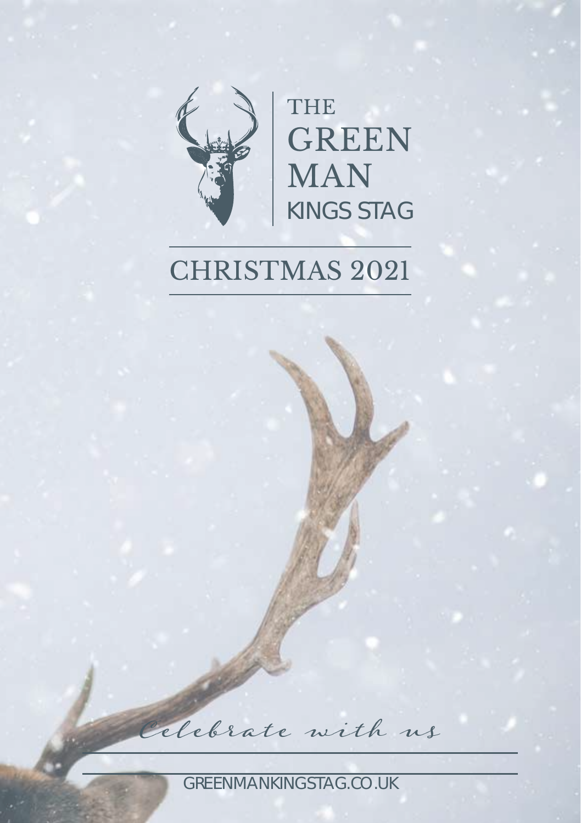

THE GREEN MAN KINGS STAG

# CHRISTMAS 2021

Celebrate with us

GREENMANKINGSTAG.CO.UK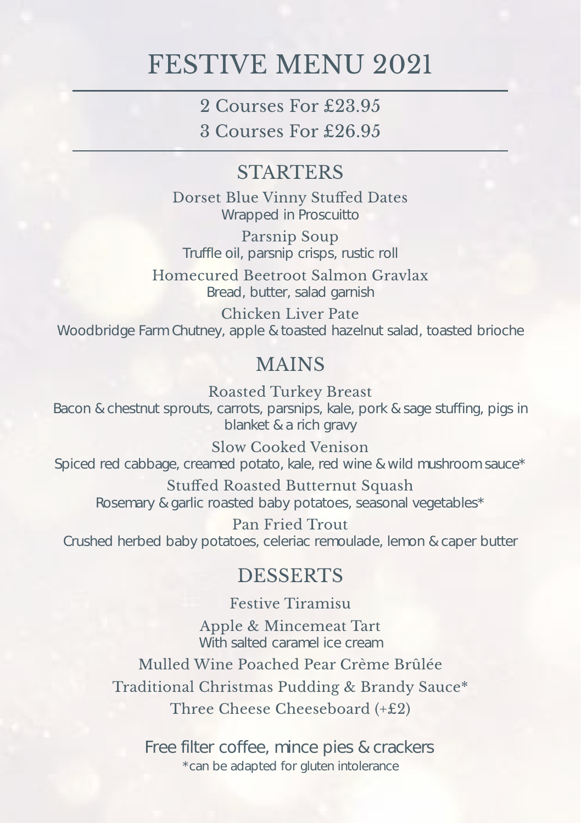## FESTIVE MENU 2021

2 Courses For £23.95

3 Courses For £26.95

#### **STARTERS**

Dorset Blue Vinny Stuffed Dates Wrapped in Proscuitto

Parsnip Soup Truffle oil, parsnip crisps, rustic roll

Homecured Beetroot Salmon Gravlax Bread, butter, salad garnish

Chicken Liver Pate Woodbridge Farm Chutney, apple & toasted hazelnut salad, toasted brioche

#### MAINS

Roasted Turkey Breast Bacon & chestnut sprouts, carrots, parsnips, kale, pork & sage stuffing, pigs in blanket & a rich gravy

Slow Cooked Venison Spiced red cabbage, creamed potato, kale, red wine & wild mushroom sauce\*

Stuffed Roasted Butternut Squash Rosemary & garlic roasted baby potatoes, seasonal vegetables\*

Pan Fried Trout Crushed herbed baby potatoes, celeriac remoulade, lemon & caper butter

#### DESSERTS

Festive Tiramisu Apple & Mincemeat Tart With salted caramel ice cream

Mulled Wine Poached Pear Crème Brûlée Traditional Christmas Pudding & Brandy Sauce\* Three Cheese Cheeseboard (+£2)

Free filter coffee, mince pies & crackers \*can be adapted for gluten intolerance